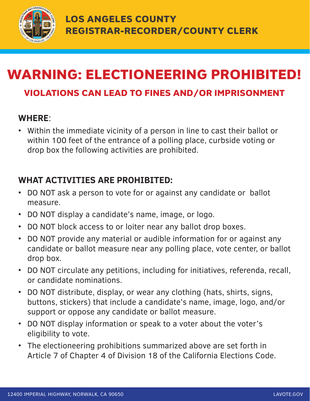

## WARNING: ELECTIONEERING PROHIBITED!

## VIOLATIONS CAN LEAD TO FINES AND/OR IMPRISONMENT

#### **WHERE**:

• Within the immediate vicinity of a person in line to cast their ballot or within 100 feet of the entrance of a polling place, curbside voting or drop box the following activities are prohibited.

### **WHAT ACTIVITIES ARE PROHIBITED:**

- DO NOT ask a person to vote for or against any candidate or ballot measure.
- DO NOT display a candidate's name, image, or logo.
- DO NOT block access to or loiter near any ballot drop boxes.
- DO NOT provide any material or audible information for or against any candidate or ballot measure near any polling place, vote center, or ballot drop box.
- DO NOT circulate any petitions, including for initiatives, referenda, recall, or candidate nominations.
- DO NOT distribute, display, or wear any clothing (hats, shirts, signs, buttons, stickers) that include a candidate's name, image, logo, and/or support or oppose any candidate or ballot measure.
- DO NOT display information or speak to a voter about the voter's eligibility to vote.
- The electioneering prohibitions summarized above are set forth in Article 7 of Chapter 4 of Division 18 of the California Elections Code.